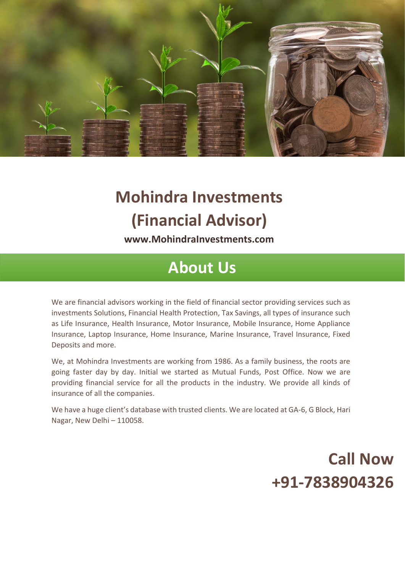

# **Mohindra Investments (Financial Advisor)**

**[www.MohindraInvestments.com](http://www.mohindrainvestments.com/)**

#### **About Us**

We are financial advisors working in the field of financial sector providing services such as investments Solutions, Financial Health Protection, Tax Savings, all types of insurance such as Life Insurance, Health Insurance, Motor Insurance, Mobile Insurance, Home Appliance Insurance, Laptop Insurance, Home Insurance, Marine Insurance, Travel Insurance, Fixed Deposits and more.

We, at Mohindra Investments are working from 1986. As a family business, the roots are going faster day by day. Initial we started as Mutual Funds, Post Office. Now we are providing financial service for all the products in the industry. We provide all kinds of insurance of all the companies.

We have a huge client's database with trusted clients. We are located at GA-6, G Block, Hari Nagar, New Delhi – 110058.

### **Call Now +91-7838904326**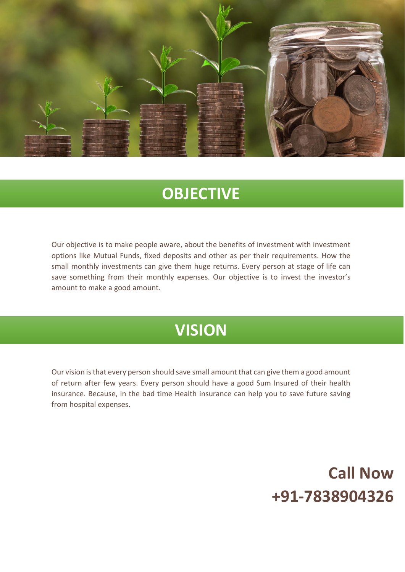

#### **OBJECTIVE**

Our objective is to make people aware, about the benefits of investment with investment options like Mutual Funds, fixed deposits and other as per their requirements. How the small monthly investments can give them huge returns. Every person at stage of life can save something from their monthly expenses. Our objective is to invest the investor's amount to make a good amount.

#### **VISION**

Our vision is that every person should save small amount that can give them a good amount of return after few years. Every person should have a good Sum Insured of their health insurance. Because, in the bad time Health insurance can help you to save future saving from hospital expenses.

## **Call Now +91-7838904326**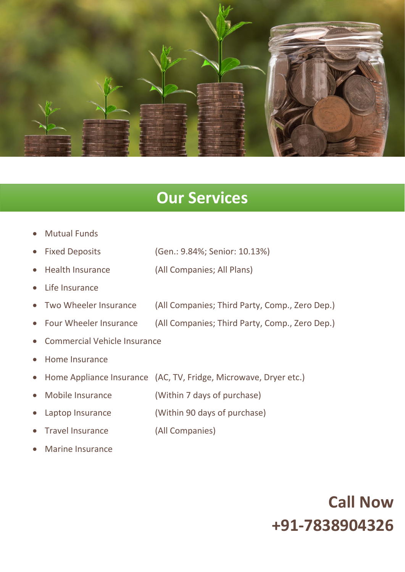

#### **Our Services**

- Mutual Funds
- Fixed Deposits (Gen.: 9.84%; Senior: 10.13%)
- Health Insurance (All Companies; All Plans)
- Life Insurance
- Two Wheeler Insurance (All Companies; Third Party, Comp., Zero Dep.)
- Four Wheeler Insurance (All Companies; Third Party, Comp., Zero Dep.)
- Commercial Vehicle Insurance
- Home Insurance
- Home Appliance Insurance (AC, TV, Fridge, Microwave, Dryer etc.)
- Mobile Insurance (Within 7 days of purchase)
- Laptop Insurance (Within 90 days of purchase)
- Travel Insurance (All Companies)
- Marine Insurance

### **Call Now +91-7838904326**